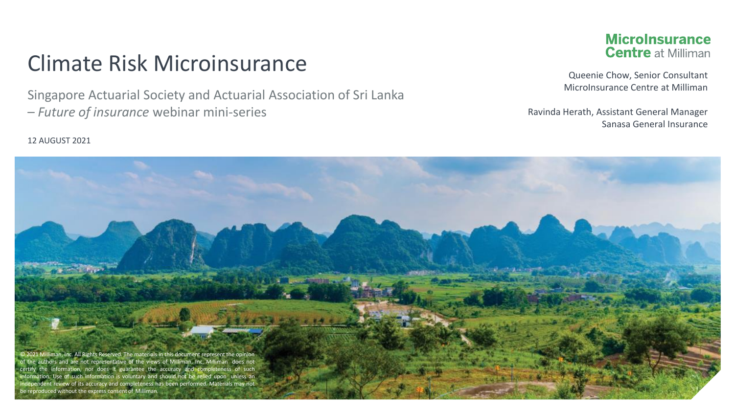#### Climate Risk Microinsurance

Singapore Actuarial Society and Actuarial Association of Sri Lanka – *Future of insurance* webinar mini-series

#### **MicroInsurance Centre at Milliman**

Queenie Chow, Senior Consultant MicroInsurance Centre at Milliman

Ravinda Herath, Assistant General Manager Sanasa General Insurance

#### 12 AUGUST 2021

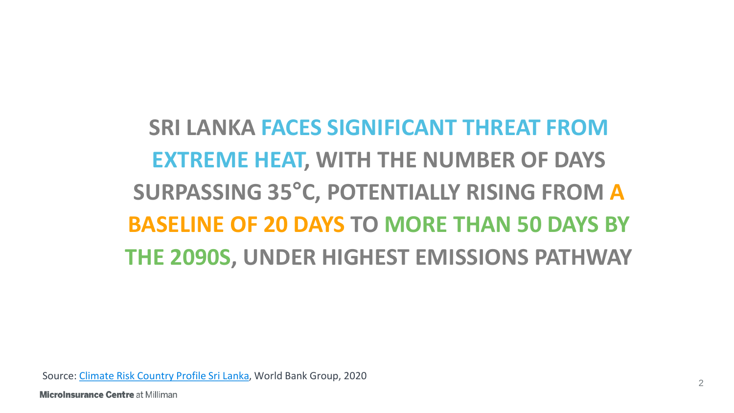## **SRI LANKA FACES SIGNIFICANT THREAT FROM EXTREME HEAT, WITH THE NUMBER OF DAYS SURPASSING 35°C, POTENTIALLY RISING FROM A BASELINE OF 20 DAYS TO MORE THAN 50 DAYS BY THE 2090S, UNDER HIGHEST EMISSIONS PATHWAY**

Source: [Climate Risk Country Profile Sri Lanka](https://www.adb.org/sites/default/files/publication/653586/climate-risk-country-profile-sri-lanka.pdf), World Bank Group, 2020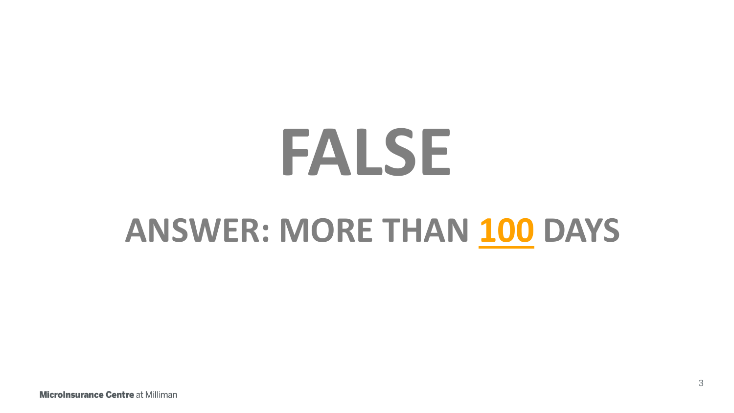# **FALSE ANSWER: MORE THAN 100 DAYS**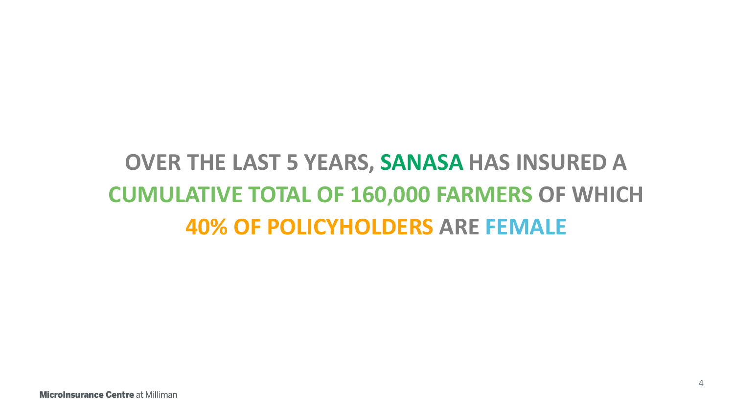## **OVER THE LAST 5 YEARS, SANASA HAS INSURED A CUMULATIVE TOTAL OF 160,000 FARMERS OF WHICH 40% OF POLICYHOLDERS ARE FEMALE**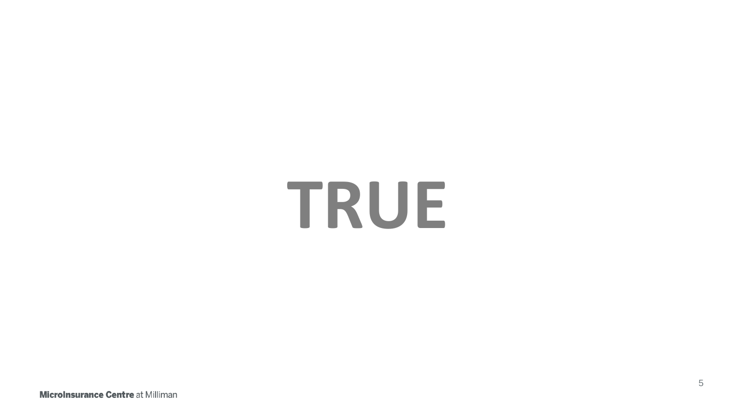# **TRUE**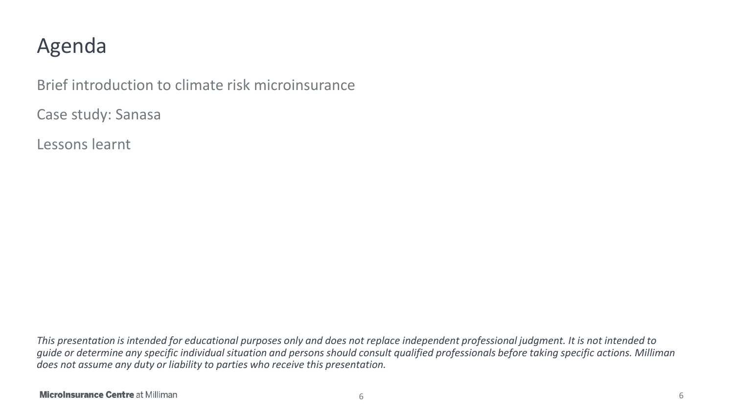#### Agenda

Brief introduction to climate risk microinsurance

Case study: Sanasa

Lessons learnt

*This presentation is intended for educational purposes only and does not replace independent professional judgment. It is not intended to guide or determine any specific individual situation and persons should consult qualified professionals before taking specific actions. Milliman does not assume any duty or liability to parties who receive this presentation.*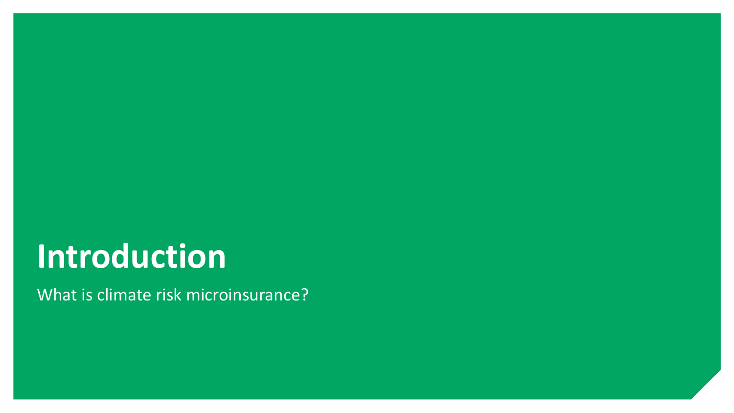## **Introduction**

What is climate risk microinsurance?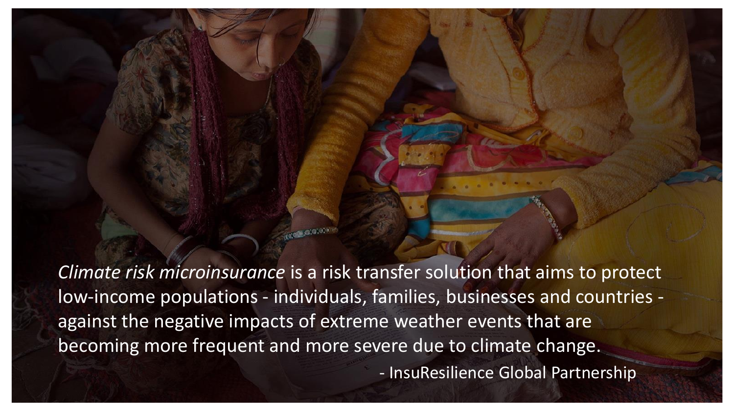*Climate risk microinsurance* is a risk transfer solution that aims to protect low-income populations - individuals, families, businesses and countries against the negative impacts of extreme weather events that are becoming more frequent and more severe due to climate change.

- InsuResilience Global Partnership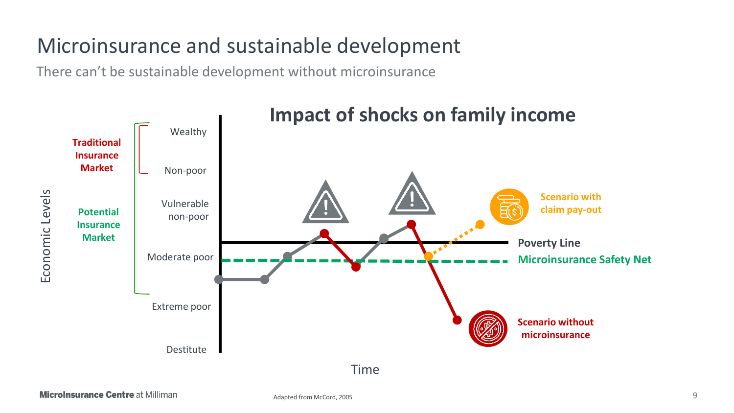#### Microinsurance and sustainable development

There can't be sustainable development without microinsurance

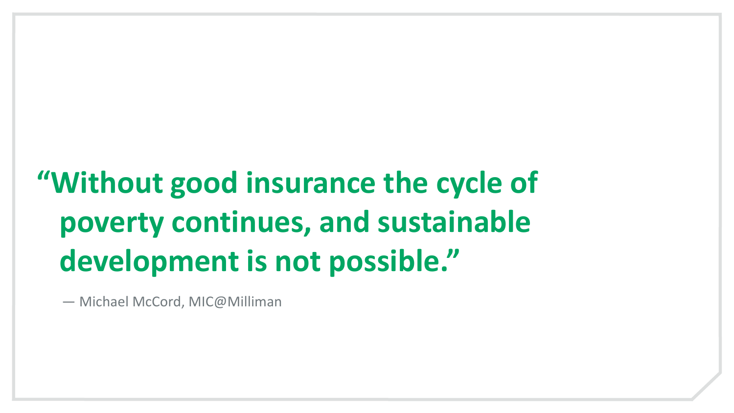# **"Without good insurance the cycle of poverty continues, and sustainable development is not possible."**

— Michael McCord, MIC@Milliman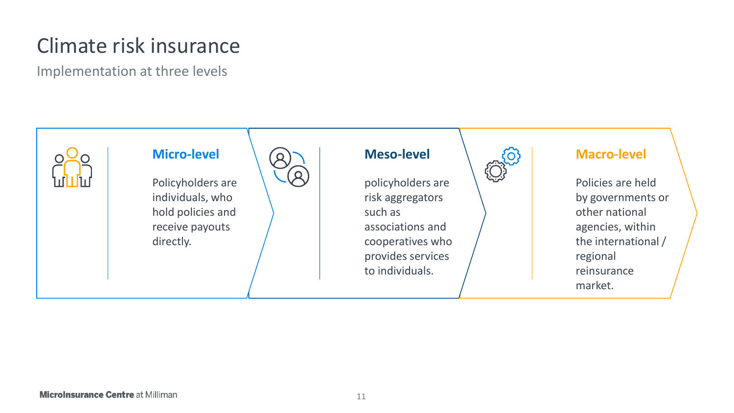## Climate risk insurance

Implementation at three levels

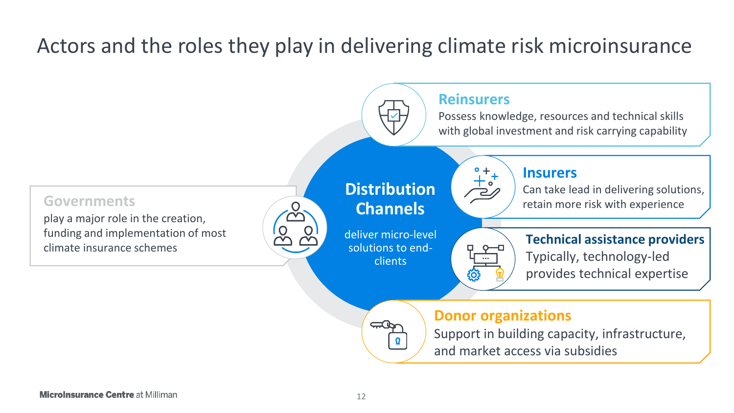#### Actors and the roles they play in delivering climate risk microinsurance

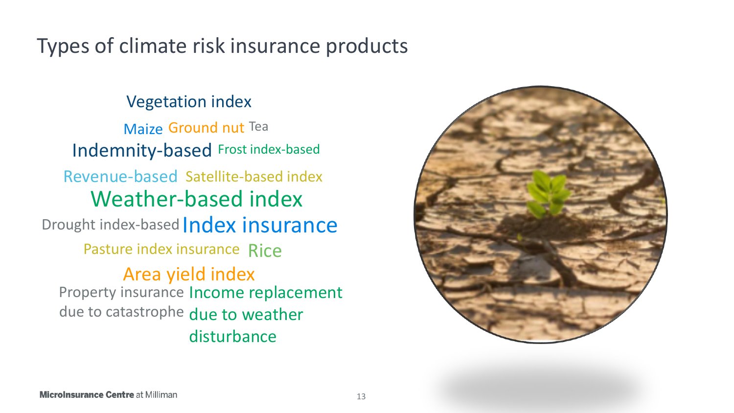#### Types of climate risk insurance products

#### Vegetation index

Indemnity-based Frost index-based Drought index-based *Index insurance* Revenue-based Satellite-based index Weather-based index Area yield index Pasture index insurance Rice Maize Ground nut Tea Property insurance Income replacement due to catastrophe due to weather disturbance

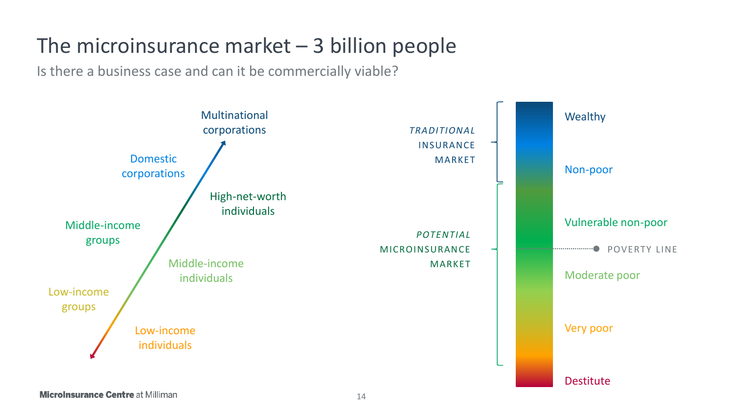#### The microinsurance market  $-$  3 billion people

Is there a business case and can it be commercially viable?

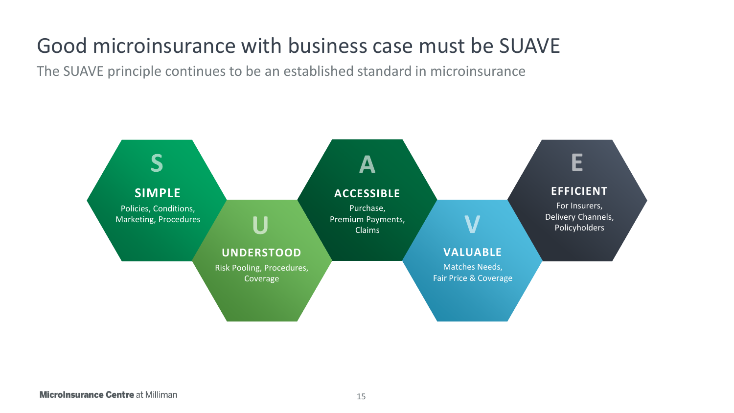## Good microinsurance with business case must be SUAVE

The SUAVE principle continues to be an established standard in microinsurance

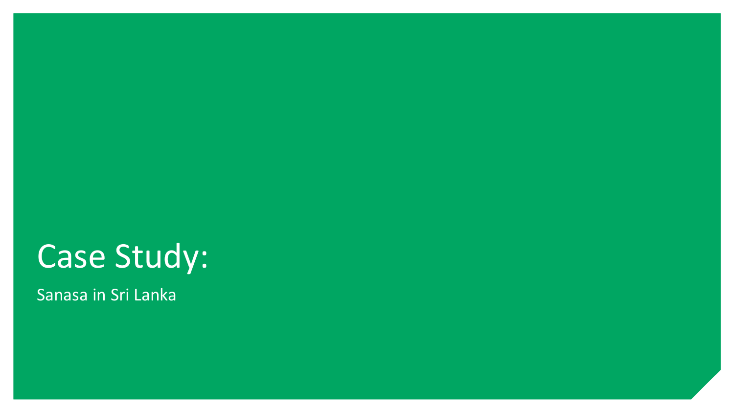# Case Study:

Sanasa in Sri Lanka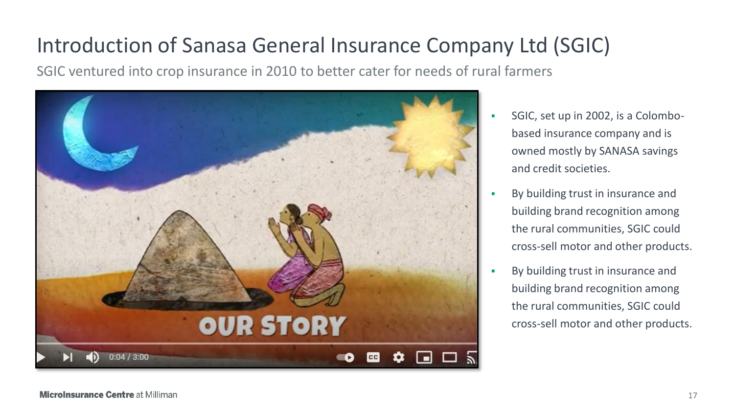### Introduction of Sanasa General Insurance Company Ltd (SGIC)

SGIC ventured into crop insurance in 2010 to better cater for needs of rural farmers



- SGIC, set up in 2002, is a Colombobased insurance company and is owned mostly by SANASA savings and credit societies.
- By building trust in insurance and building brand recognition among the rural communities, SGIC could cross-sell motor and other products.
- By building trust in insurance and building brand recognition among the rural communities, SGIC could cross-sell motor and other products.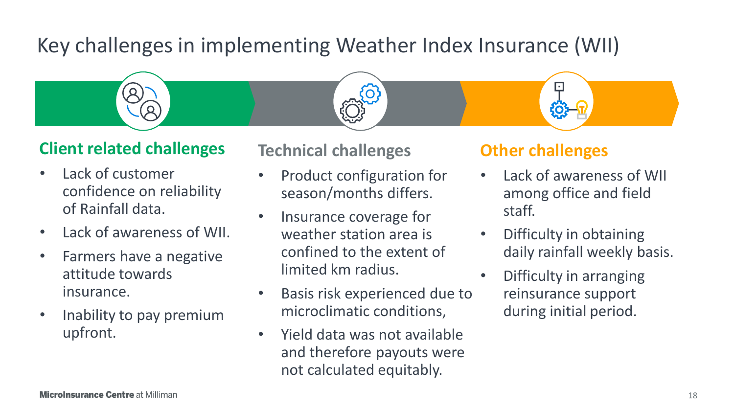## Key challenges in implementing Weather Index Insurance (WII)



#### **Client related challenges**

- Lack of customer confidence on reliability of Rainfall data.
- Lack of awareness of WII.
- Farmers have a negative attitude towards insurance.
- Inability to pay premium upfront.

#### **Technical challenges**

- Product configuration for season/months differs.
- Insurance coverage for weather station area is confined to the extent of limited km radius.
- Basis risk experienced due to microclimatic conditions,
- Yield data was not available and therefore payouts were not calculated equitably.

#### **Other challenges**

- Lack of awareness of WII among office and field staff.
- Difficulty in obtaining daily rainfall weekly basis.
- Difficulty in arranging reinsurance support during initial period.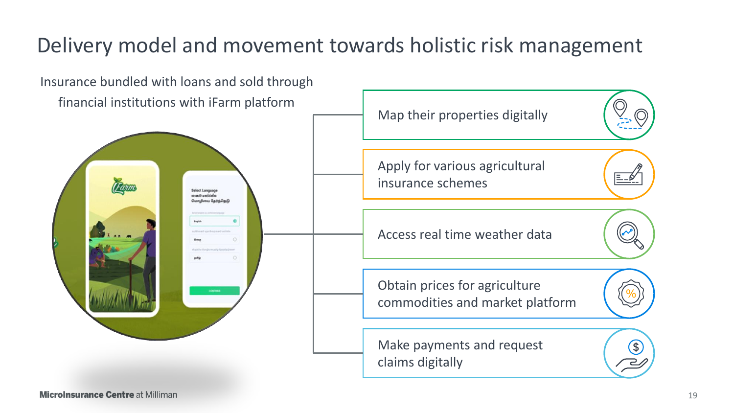## Delivery model and movement towards holistic risk management

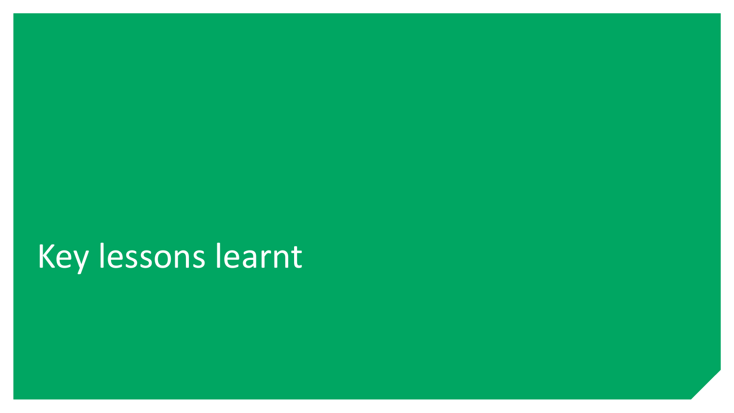# Key lessons learnt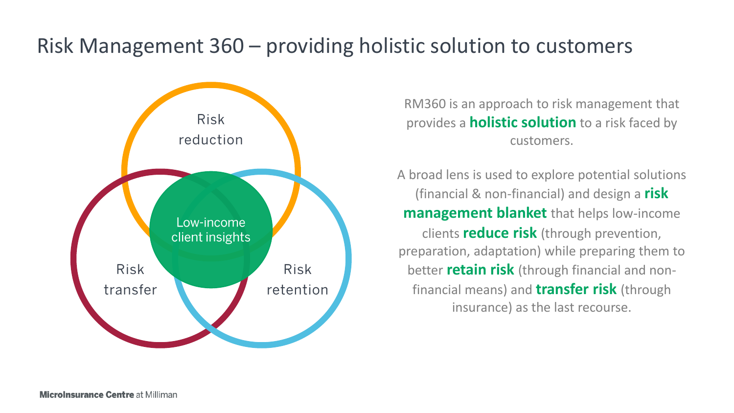#### Risk Management 360 – providing holistic solution to customers



RM360 is an approach to risk management that provides a **holistic solution** to a risk faced by customers.

A broad lens is used to explore potential solutions (financial & non-financial) and design a **risk management blanket** that helps low-income clients **reduce risk** (through prevention, preparation, adaptation) while preparing them to better **retain risk** (through financial and nonfinancial means) and **transfer risk** (through insurance) as the last recourse.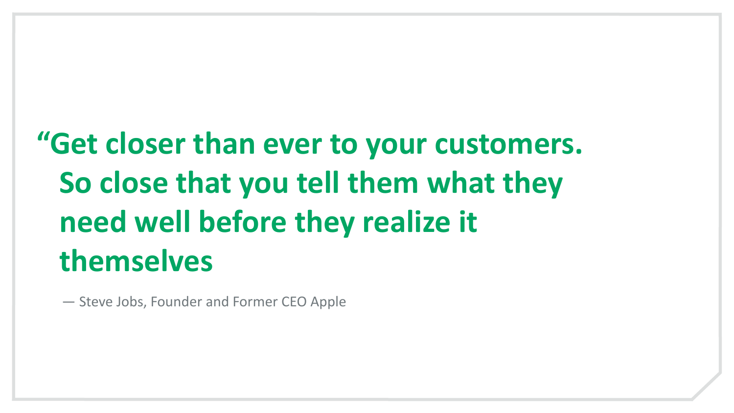# **"Get closer than ever to your customers. So close that you tell them what they need well before they realize it themselves**

— Steve Jobs, Founder and Former CEO Apple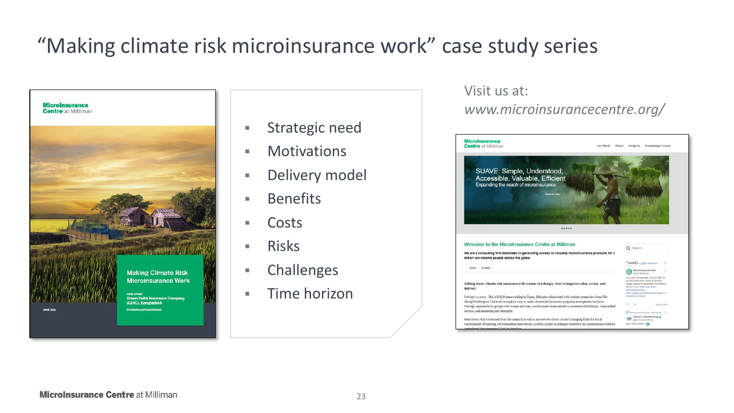## "Making climate risk microinsurance work" case study series



- Strategic need
- Motivations
- **E** Delivery model
- Benefits
- Costs
- Risks
- Challenges
- Time horizon

#### Visit us at: *www.microinsurancecentre.org/*